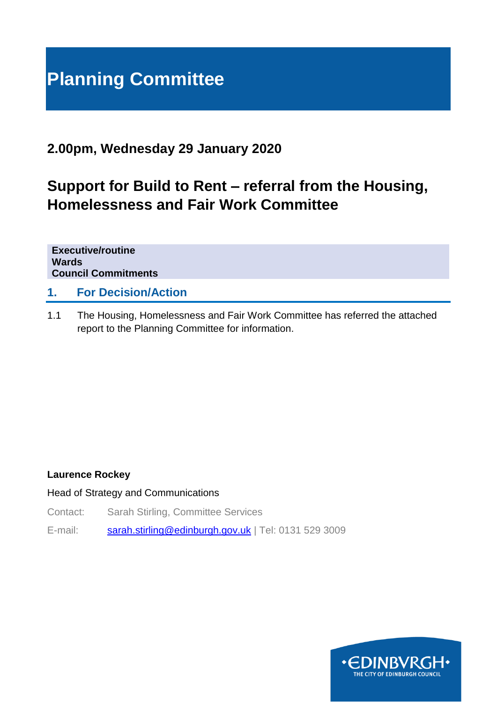# **Planning Committee**

## **2.00pm, Wednesday 29 January 2020**

# **Support for Build to Rent – referral from the Housing, Homelessness and Fair Work Committee**

**Executive/routine Wards Council Commitments**

#### **1. For Decision/Action**

1.1 The Housing, Homelessness and Fair Work Committee has referred the attached report to the Planning Committee for information.

#### **Laurence Rockey**

Head of Strategy and Communications

Contact: Sarah Stirling, Committee Services

E-mail: [sarah.stirling@edinburgh.gov.uk](mailto:sarah.stirling@edinburgh.gov.uk) | Tel: 0131 529 3009

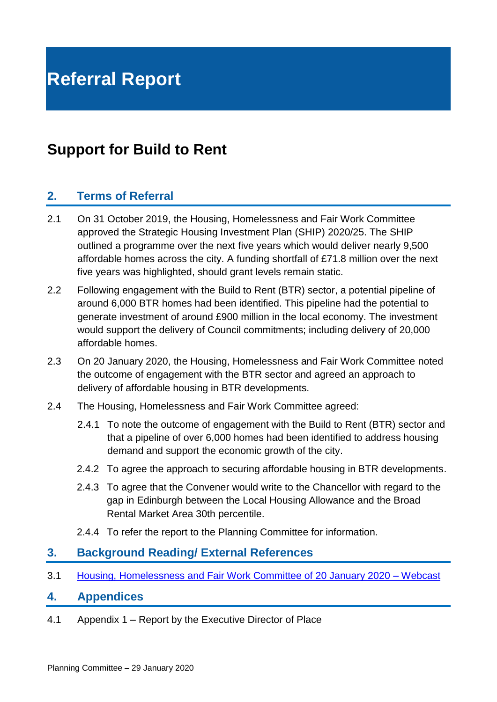# **Support for Build to Rent**

#### **2. Terms of Referral**

- 2.1 On 31 October 2019, the Housing, Homelessness and Fair Work Committee approved the Strategic Housing Investment Plan (SHIP) 2020/25. The SHIP outlined a programme over the next five years which would deliver nearly 9,500 affordable homes across the city. A funding shortfall of £71.8 million over the next five years was highlighted, should grant levels remain static.
- 2.2 Following engagement with the Build to Rent (BTR) sector, a potential pipeline of around 6,000 BTR homes had been identified. This pipeline had the potential to generate investment of around £900 million in the local economy. The investment would support the delivery of Council commitments; including delivery of 20,000 affordable homes.
- 2.3 On 20 January 2020, the Housing, Homelessness and Fair Work Committee noted the outcome of engagement with the BTR sector and agreed an approach to delivery of affordable housing in BTR developments.
- 2.4 The Housing, Homelessness and Fair Work Committee agreed:
	- 2.4.1 To note the outcome of engagement with the Build to Rent (BTR) sector and that a pipeline of over 6,000 homes had been identified to address housing demand and support the economic growth of the city.
	- 2.4.2 To agree the approach to securing affordable housing in BTR developments.
	- 2.4.3 To agree that the Convener would write to the Chancellor with regard to the gap in Edinburgh between the Local Housing Allowance and the Broad Rental Market Area 30th percentile.
	- 2.4.4 To refer the report to the Planning Committee for information.

#### **3. Background Reading/ External References**

3.1 [Housing, Homelessness and Fair Work Committee of 20 January 2020](https://edinburgh.public-i.tv/core/portal/webcast_interactive/465469) - Webcast

#### **4. Appendices**

4.1 Appendix 1 – Report by the Executive Director of Place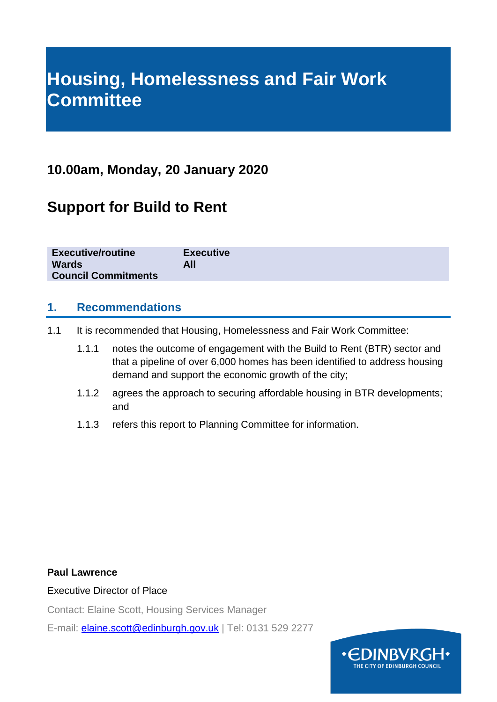# **Housing, Homelessness and Fair Work Committee**

## **10.00am, Monday, 20 January 2020**

# **Support for Build to Rent**

| <b>Executive/routine</b><br><b>Wards</b> | <b>Executive</b><br>All |  |
|------------------------------------------|-------------------------|--|
| <b>Council Commitments</b>               |                         |  |

#### **1. Recommendations**

- 1.1 It is recommended that Housing, Homelessness and Fair Work Committee:
	- 1.1.1 notes the outcome of engagement with the Build to Rent (BTR) sector and that a pipeline of over 6,000 homes has been identified to address housing demand and support the economic growth of the city;
	- 1.1.2 agrees the approach to securing affordable housing in BTR developments; and
	- 1.1.3 refers this report to Planning Committee for information.

#### **Paul Lawrence**

#### Executive Director of Place

Contact: Elaine Scott, Housing Services Manager

E-mail: [elaine.scott@edinburgh.gov.uk](mailto:elaine.scott@edinburgh.gov.uk) | Tel: 0131 529 2277

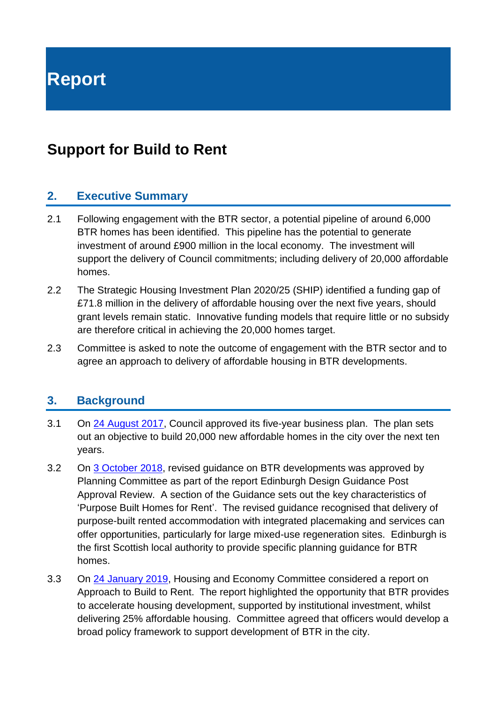**Report**

## **Support for Build to Rent**

#### **2. Executive Summary**

- 2.1 Following engagement with the BTR sector, a potential pipeline of around 6,000 BTR homes has been identified. This pipeline has the potential to generate investment of around £900 million in the local economy. The investment will support the delivery of Council commitments; including delivery of 20,000 affordable homes.
- 2.2 The Strategic Housing Investment Plan 2020/25 (SHIP) identified a funding gap of £71.8 million in the delivery of affordable housing over the next five years, should grant levels remain static. Innovative funding models that require little or no subsidy are therefore critical in achieving the 20,000 homes target.
- 2.3 Committee is asked to note the outcome of engagement with the BTR sector and to agree an approach to delivery of affordable housing in BTR developments.

#### **3. Background**

- 3.1 On [24 August 2017,](https://democracy.edinburgh.gov.uk/Data/City%20of%20Edinburgh%20Council/20170824/Agenda/$item_81_-_programme_for_the_capital_-_the_city_of_edinburgh_council_business_plan_2017-22.xls.pdf) Council approved its five-year business plan. The plan sets out an objective to build 20,000 new affordable homes in the city over the next ten years.
- 3.2 On [3 October 2018,](https://democracy.edinburgh.gov.uk/Data/Planning%20Committee/20181003/Agenda/$item_61_-_edinburgh_design_guidance_-_post_approval_review.xls.pdf) revised guidance on BTR developments was approved by Planning Committee as part of the report Edinburgh Design Guidance Post Approval Review. A section of the Guidance sets out the key characteristics of 'Purpose Built Homes for Rent'. The revised guidance recognised that delivery of purpose-built rented accommodation with integrated placemaking and services can offer opportunities, particularly for large mixed-use regeneration sites. Edinburgh is the first Scottish local authority to provide specific planning guidance for BTR homes.
- 3.3 On [24 January 2019,](https://democracy.edinburgh.gov.uk/Data/Housing%20and%20Economy%20Committee/20190124/Agenda/item_73_-_approach_to_build_to_rent.pdf) Housing and Economy Committee considered a report on Approach to Build to Rent. The report highlighted the opportunity that BTR provides to accelerate housing development, supported by institutional investment, whilst delivering 25% affordable housing. Committee agreed that officers would develop a broad policy framework to support development of BTR in the city.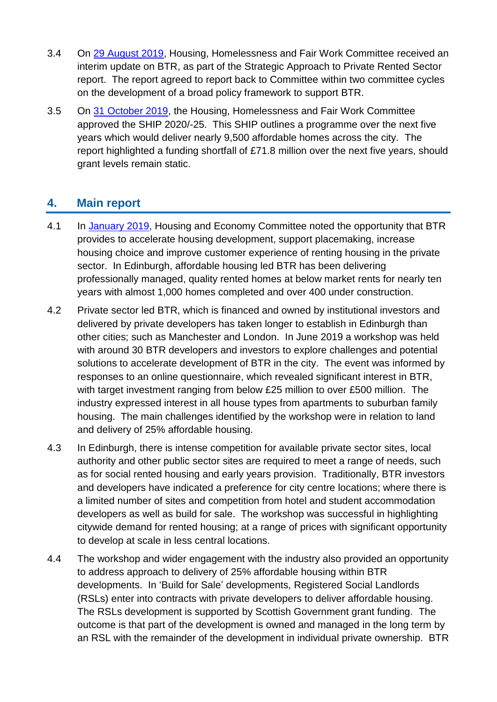- 3.4 On [29 August 2019,](https://democracy.edinburgh.gov.uk/documents/s5639/V2%20-%20Strategic%20Approach%20to%20Private%20Rented%20Sector.pdf) Housing, Homelessness and Fair Work Committee received an interim update on BTR, as part of the Strategic Approach to Private Rented Sector report. The report agreed to report back to Committee within two committee cycles on the development of a broad policy framework to support BTR.
- 3.5 On [31 October 2019,](https://democracy.edinburgh.gov.uk/documents/s10135/Item%207.3%20-%20SHIP%202020%2024.pdf) the Housing, Homelessness and Fair Work Committee approved the SHIP 2020/-25. This SHIP outlines a programme over the next five years which would deliver nearly 9,500 affordable homes across the city. The report highlighted a funding shortfall of £71.8 million over the next five years, should grant levels remain static.

## **4. Main report**

- 4.1 In [January 2019,](https://democracy.edinburgh.gov.uk/Data/Housing%20and%20Economy%20Committee/20190124/Agenda/item_73_-_approach_to_build_to_rent.pdf) Housing and Economy Committee noted the opportunity that BTR provides to accelerate housing development, support placemaking, increase housing choice and improve customer experience of renting housing in the private sector. In Edinburgh, affordable housing led BTR has been delivering professionally managed, quality rented homes at below market rents for nearly ten years with almost 1,000 homes completed and over 400 under construction.
- 4.2 Private sector led BTR, which is financed and owned by institutional investors and delivered by private developers has taken longer to establish in Edinburgh than other cities; such as Manchester and London. In June 2019 a workshop was held with around 30 BTR developers and investors to explore challenges and potential solutions to accelerate development of BTR in the city. The event was informed by responses to an online questionnaire, which revealed significant interest in BTR, with target investment ranging from below £25 million to over £500 million. The industry expressed interest in all house types from apartments to suburban family housing. The main challenges identified by the workshop were in relation to land and delivery of 25% affordable housing.
- 4.3 In Edinburgh, there is intense competition for available private sector sites, local authority and other public sector sites are required to meet a range of needs, such as for social rented housing and early years provision. Traditionally, BTR investors and developers have indicated a preference for city centre locations; where there is a limited number of sites and competition from hotel and student accommodation developers as well as build for sale. The workshop was successful in highlighting citywide demand for rented housing; at a range of prices with significant opportunity to develop at scale in less central locations.
- 4.4 The workshop and wider engagement with the industry also provided an opportunity to address approach to delivery of 25% affordable housing within BTR developments. In 'Build for Sale' developments, Registered Social Landlords (RSLs) enter into contracts with private developers to deliver affordable housing. The RSLs development is supported by Scottish Government grant funding. The outcome is that part of the development is owned and managed in the long term by an RSL with the remainder of the development in individual private ownership. BTR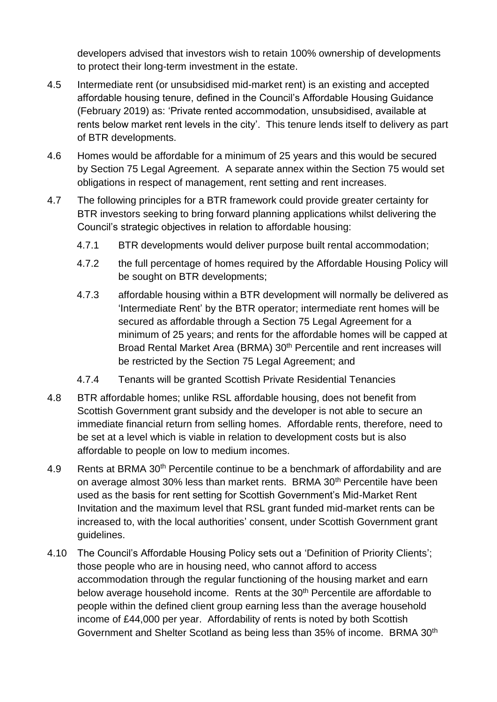developers advised that investors wish to retain 100% ownership of developments to protect their long-term investment in the estate.

- 4.5 Intermediate rent (or unsubsidised mid-market rent) is an existing and accepted affordable housing tenure, defined in the Council's Affordable Housing Guidance (February 2019) as: 'Private rented accommodation, unsubsidised, available at rents below market rent levels in the city'. This tenure lends itself to delivery as part of BTR developments.
- 4.6 Homes would be affordable for a minimum of 25 years and this would be secured by Section 75 Legal Agreement. A separate annex within the Section 75 would set obligations in respect of management, rent setting and rent increases.
- 4.7 The following principles for a BTR framework could provide greater certainty for BTR investors seeking to bring forward planning applications whilst delivering the Council's strategic objectives in relation to affordable housing:
	- 4.7.1 BTR developments would deliver purpose built rental accommodation;
	- 4.7.2 the full percentage of homes required by the Affordable Housing Policy will be sought on BTR developments;
	- 4.7.3 affordable housing within a BTR development will normally be delivered as 'Intermediate Rent' by the BTR operator; intermediate rent homes will be secured as affordable through a Section 75 Legal Agreement for a minimum of 25 years; and rents for the affordable homes will be capped at Broad Rental Market Area (BRMA) 30<sup>th</sup> Percentile and rent increases will be restricted by the Section 75 Legal Agreement: and
	- 4.7.4 Tenants will be granted Scottish Private Residential Tenancies
- 4.8 BTR affordable homes; unlike RSL affordable housing, does not benefit from Scottish Government grant subsidy and the developer is not able to secure an immediate financial return from selling homes. Affordable rents, therefore, need to be set at a level which is viable in relation to development costs but is also affordable to people on low to medium incomes.
- 4.9 Rents at BRMA 30<sup>th</sup> Percentile continue to be a benchmark of affordability and are on average almost 30% less than market rents. BRMA 30<sup>th</sup> Percentile have been used as the basis for rent setting for Scottish Government's Mid-Market Rent Invitation and the maximum level that RSL grant funded mid-market rents can be increased to, with the local authorities' consent, under Scottish Government grant guidelines.
- 4.10 The Council's Affordable Housing Policy sets out a 'Definition of Priority Clients'; those people who are in housing need, who cannot afford to access accommodation through the regular functioning of the housing market and earn below average household income. Rents at the 30<sup>th</sup> Percentile are affordable to people within the defined client group earning less than the average household income of £44,000 per year. Affordability of rents is noted by both Scottish Government and Shelter Scotland as being less than 35% of income. BRMA 30th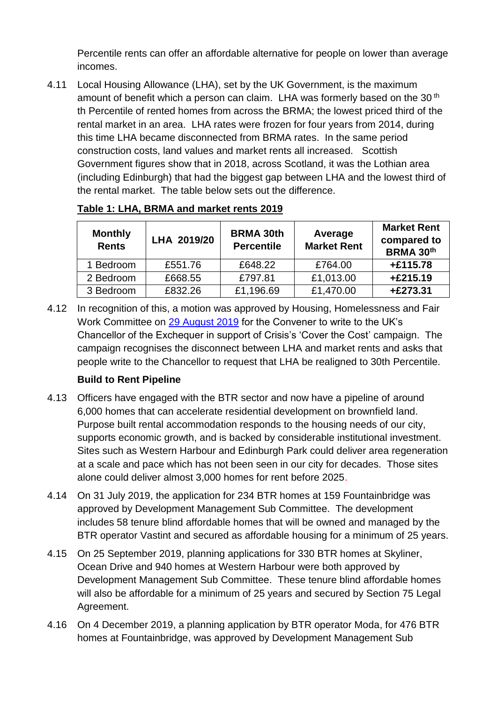Percentile rents can offer an affordable alternative for people on lower than average incomes.

4.11 Local Housing Allowance (LHA), set by the UK Government, is the maximum amount of benefit which a person can claim. LHA was formerly based on the 30<sup>th</sup> th Percentile of rented homes from across the BRMA; the lowest priced third of the rental market in an area. LHA rates were frozen for four years from 2014, during this time LHA became disconnected from BRMA rates. In the same period construction costs, land values and market rents all increased. Scottish Government figures show that in 2018, across Scotland, it was the Lothian area (including Edinburgh) that had the biggest gap between LHA and the lowest third of the rental market. The table below sets out the difference.

| <b>Monthly</b><br><b>Rents</b> | LHA 2019/20 | <b>BRMA 30th</b><br><b>Percentile</b> | Average<br><b>Market Rent</b> | <b>Market Rent</b><br>compared to<br><b>BRMA 30th</b> |
|--------------------------------|-------------|---------------------------------------|-------------------------------|-------------------------------------------------------|
| 1 Bedroom                      | £551.76     | £648.22                               | £764.00                       | +£115.78                                              |
| 2 Bedroom                      | £668.55     | £797.81                               | £1,013.00                     | $+£215.19$                                            |
| 3 Bedroom                      | £832.26     | £1,196.69                             | £1,470.00                     | +£273.31                                              |

#### **Table 1: LHA, BRMA and market rents 2019**

4.12 In recognition of this, a motion was approved by Housing, Homelessness and Fair Work Committee on [29 August 2019](https://democracy.edinburgh.gov.uk/documents/s5674/Motions%20and%20Amendments%20-%20Housing%20Homelessness%20Fair%20Work%20-%2029.08.19.pdf) for the Convener to write to the UK's Chancellor of the Exchequer in support of Crisis's 'Cover the Cost' campaign. The campaign recognises the disconnect between LHA and market rents and asks that people write to the Chancellor to request that LHA be realigned to 30th Percentile.

#### **Build to Rent Pipeline**

- 4.13 Officers have engaged with the BTR sector and now have a pipeline of around 6,000 homes that can accelerate residential development on brownfield land. Purpose built rental accommodation responds to the housing needs of our city, supports economic growth, and is backed by considerable institutional investment. Sites such as Western Harbour and Edinburgh Park could deliver area regeneration at a scale and pace which has not been seen in our city for decades. Those sites alone could deliver almost 3,000 homes for rent before 2025.
- 4.14 On 31 July 2019, the application for 234 BTR homes at 159 Fountainbridge was approved by Development Management Sub Committee. The development includes 58 tenure blind affordable homes that will be owned and managed by the BTR operator Vastint and secured as affordable housing for a minimum of 25 years.
- 4.15 On 25 September 2019, planning applications for 330 BTR homes at Skyliner, Ocean Drive and 940 homes at Western Harbour were both approved by Development Management Sub Committee. These tenure blind affordable homes will also be affordable for a minimum of 25 years and secured by Section 75 Legal Agreement.
- 4.16 On 4 December 2019, a planning application by BTR operator Moda, for 476 BTR homes at Fountainbridge, was approved by Development Management Sub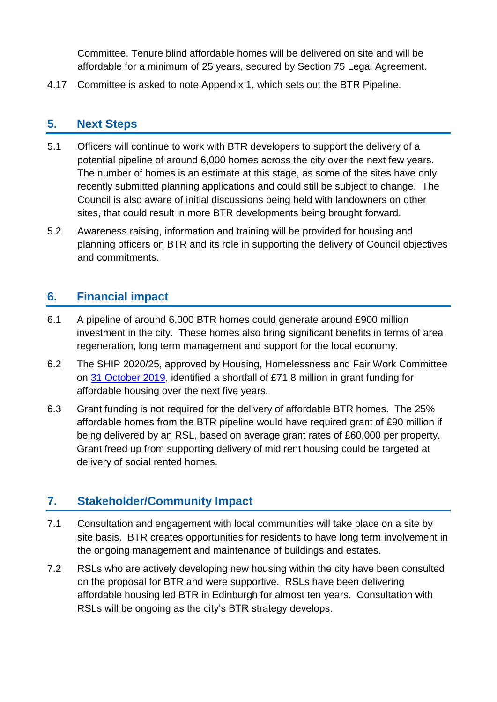Committee. Tenure blind affordable homes will be delivered on site and will be affordable for a minimum of 25 years, secured by Section 75 Legal Agreement.

4.17 Committee is asked to note Appendix 1, which sets out the BTR Pipeline.

### **5. Next Steps**

- 5.1 Officers will continue to work with BTR developers to support the delivery of a potential pipeline of around 6,000 homes across the city over the next few years. The number of homes is an estimate at this stage, as some of the sites have only recently submitted planning applications and could still be subject to change. The Council is also aware of initial discussions being held with landowners on other sites, that could result in more BTR developments being brought forward.
- 5.2 Awareness raising, information and training will be provided for housing and planning officers on BTR and its role in supporting the delivery of Council objectives and commitments.

## **6. Financial impact**

- 6.1 A pipeline of around 6,000 BTR homes could generate around £900 million investment in the city. These homes also bring significant benefits in terms of area regeneration, long term management and support for the local economy.
- 6.2 The SHIP 2020/25, approved by Housing, Homelessness and Fair Work Committee on [31 October 2019,](https://democracy.edinburgh.gov.uk/documents/s10135/Item%207.3%20-%20SHIP%202020%2024.pdf) identified a shortfall of £71.8 million in grant funding for affordable housing over the next five years.
- 6.3 Grant funding is not required for the delivery of affordable BTR homes. The 25% affordable homes from the BTR pipeline would have required grant of £90 million if being delivered by an RSL, based on average grant rates of £60,000 per property. Grant freed up from supporting delivery of mid rent housing could be targeted at delivery of social rented homes.

## **7. Stakeholder/Community Impact**

- 7.1 Consultation and engagement with local communities will take place on a site by site basis. BTR creates opportunities for residents to have long term involvement in the ongoing management and maintenance of buildings and estates.
- 7.2 RSLs who are actively developing new housing within the city have been consulted on the proposal for BTR and were supportive. RSLs have been delivering affordable housing led BTR in Edinburgh for almost ten years. Consultation with RSLs will be ongoing as the city's BTR strategy develops.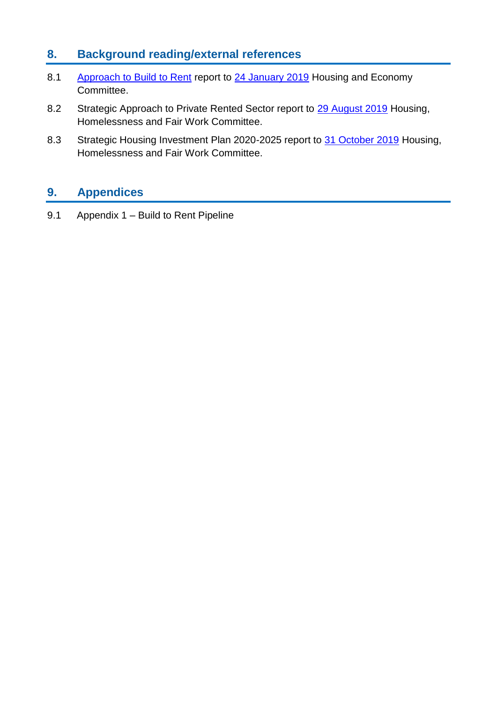## **8. Background reading/external references**

- 8.1 Approach to Build to Rent report to [24 January 2019](https://democracy.edinburgh.gov.uk/Data/Housing%20and%20Economy%20Committee/20190124/Agenda/item_73_-_approach_to_build_to_rent.pdf) Housing and Economy Committee.
- 8.2 Strategic Approach to Private Rented Sector report to [29 August 2019](https://democracy.edinburgh.gov.uk/documents/s5639/V2%20-%20Strategic%20Approach%20to%20Private%20Rented%20Sector.pdf) Housing, Homelessness and Fair Work Committee.
- 8.3 Strategic Housing Investment Plan 2020-2025 report to [31 October 2019](https://democracy.edinburgh.gov.uk/documents/s10135/Item%207.3%20-%20SHIP%202020%2024.pdf) Housing, Homelessness and Fair Work Committee.

## **9. Appendices**

9.1 Appendix 1 – Build to Rent Pipeline